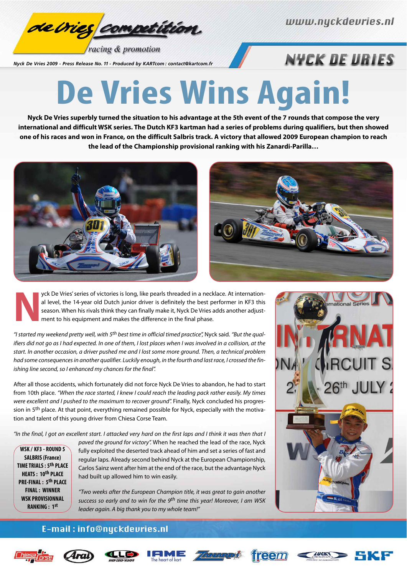

racing & promotion

*Nyck De Vries 2009 - Press Release No. 11 - Produced by KARTcom : contact@kartcom.fr*

## **NYCK DE URIES**

# **De Vries Wins Again!**

**Nyck De Vries superbly turned the situation to his advantage at the 5th event of the 7 rounds that compose the very international and difficult WSK series. The Dutch KF3 kartman had a series of problems during qualifiers, but then showed one of his races and won in France, on the difficult Salbris track. A victory that allowed 2009 European champion to reach the lead of the Championship provisional ranking with his Zanardi-Parilla…**





**Note Vies' series of victories is long, like pearls threaded in a necklace. At internation-<br>al level, the 14-year old Dutch junior driver is definitely the best performer in KF3 this<br>season. When his rivals think they can** al level, the 14-year old Dutch junior driver is definitely the best performer in KF3 this season. When his rivals think they can finally make it, Nyck De Vries adds another adjustment to his equipment and makes the difference in the final phase.

"I started my weekend pretty well, with 5<sup>th</sup> best time in official timed practice", Nyck said. "But the qualifiers did not go as I had expected. In one of them, I lost places when I was involved in a collision, at the start. In another occasion, a driver pushed me and I lost some more ground. Then, a technical problem had some consequences in another qualifier. Luckily enough, in the fourth and last race, I crossed the finishing line second, so I enhanced my chances for the final".

After all those accidents, which fortunately did not force Nyck De Vries to abandon, he had to start from 10th place. "When the race started, I knew I could reach the leading pack rather easily. My times were excellent and I pushed to the maximum to recover ground". Finally, Nyck concluded his progression in 5<sup>th</sup> place. At that point, everything remained possible for Nyck, especially with the motivation and talent of this young driver from Chiesa Corse Team.

"In the final, I got an excellent start. I attacked very hard on the first laps and I think it was then that I

**WSK / KF3 - ROUND 5 SALBRIS (France) TIME TRIALS : 5th PLACE HEATS : 10th PLACE PRE-FINAL : 5th PLACE FINAL : WINNER WSK PROVISIONNAL RANKING : 1st**

paved the ground for victory". When he reached the lead of the race, Nyck fully exploited the deserted track ahead of him and set a series of fast and regular laps. Already second behind Nyck at the European Championship, Carlos Sainz went after him at the end of the race, but the advantage Nyck had built up allowed him to win easily.

"Two weeks after the European Champion title, it was great to gain another success so early and to win for the 9<sup>th</sup> time this year! Moreover, I am WSK leader again. A big thank you to my whole team!"



#### E-mail: info@nyckdevries.nl